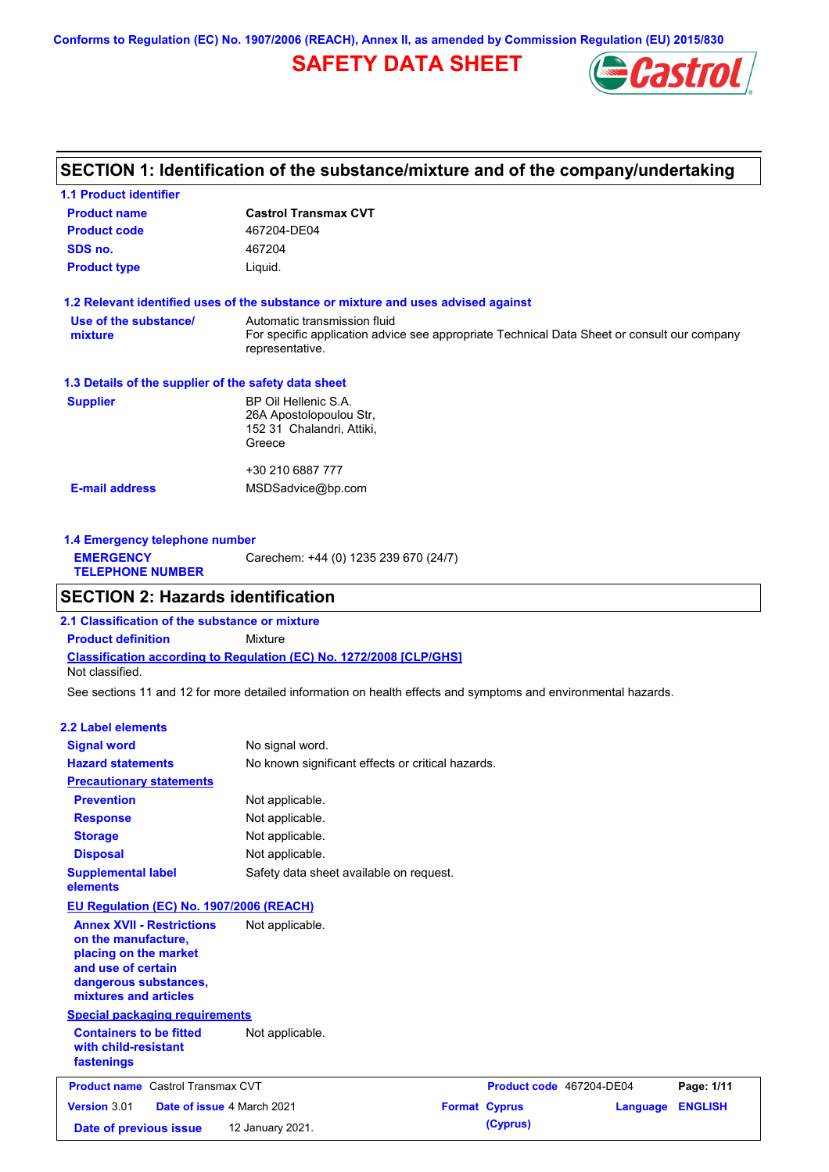**Conforms to Regulation (EC) No. 1907/2006 (REACH), Annex II, as amended by Commission Regulation (EU) 2015/830**

# **SAFETY DATA SHEET**



# **SECTION 1: Identification of the substance/mixture and of the company/undertaking**

| <b>1.1 Product identifier</b>                        |                                                                                                                                                |
|------------------------------------------------------|------------------------------------------------------------------------------------------------------------------------------------------------|
| <b>Product name</b>                                  | <b>Castrol Transmax CVT</b>                                                                                                                    |
| <b>Product code</b>                                  | 467204-DE04                                                                                                                                    |
| SDS no.                                              | 467204                                                                                                                                         |
| <b>Product type</b>                                  | Liquid.                                                                                                                                        |
|                                                      | 1.2 Relevant identified uses of the substance or mixture and uses advised against                                                              |
| Use of the substance/<br>mixture                     | Automatic transmission fluid<br>For specific application advice see appropriate Technical Data Sheet or consult our company<br>representative. |
| 1.3 Details of the supplier of the safety data sheet |                                                                                                                                                |
| <b>Supplier</b>                                      | BP Oil Hellenic S.A.<br>26A Apostolopoulou Str,<br>152 31 Chalandri, Attiki,<br>Greece                                                         |
|                                                      | +30 210 6887 777                                                                                                                               |
| <b>E-mail address</b>                                | MSDSadvice@bp.com                                                                                                                              |
|                                                      |                                                                                                                                                |

| Carechem: +44 (0) 1235 239 670 (24/7)<br><b>EMERGENCY</b><br><b>TELEPHONE NUMBER</b> | 1.4 Emergency telephone number |  |  |  |  |
|--------------------------------------------------------------------------------------|--------------------------------|--|--|--|--|
|                                                                                      |                                |  |  |  |  |

### **SECTION 2: Hazards identification**

**Classification according to Regulation (EC) No. 1272/2008 [CLP/GHS] 2.1 Classification of the substance or mixture Product definition** Mixture Not classified.

See sections 11 and 12 for more detailed information on health effects and symptoms and environmental hazards.

### **2.2 Label elements**

| <b>Signal word</b>                                                                                                                                       | No signal word.                                   |                          |          |                |
|----------------------------------------------------------------------------------------------------------------------------------------------------------|---------------------------------------------------|--------------------------|----------|----------------|
| <b>Hazard statements</b>                                                                                                                                 | No known significant effects or critical hazards. |                          |          |                |
| <b>Precautionary statements</b>                                                                                                                          |                                                   |                          |          |                |
| <b>Prevention</b>                                                                                                                                        | Not applicable.                                   |                          |          |                |
| <b>Response</b>                                                                                                                                          | Not applicable.                                   |                          |          |                |
| <b>Storage</b>                                                                                                                                           | Not applicable.                                   |                          |          |                |
| <b>Disposal</b>                                                                                                                                          | Not applicable.                                   |                          |          |                |
| <b>Supplemental label</b><br>elements                                                                                                                    | Safety data sheet available on request.           |                          |          |                |
| EU Regulation (EC) No. 1907/2006 (REACH)                                                                                                                 |                                                   |                          |          |                |
| <b>Annex XVII - Restrictions</b><br>on the manufacture,<br>placing on the market<br>and use of certain<br>dangerous substances,<br>mixtures and articles | Not applicable.                                   |                          |          |                |
| <b>Special packaging requirements</b>                                                                                                                    |                                                   |                          |          |                |
| <b>Containers to be fitted</b><br>with child-resistant<br>fastenings                                                                                     | Not applicable.                                   |                          |          |                |
| <b>Product name</b> Castrol Transmax CVT                                                                                                                 |                                                   | Product code 467204-DE04 |          | Page: 1/11     |
| <b>Version 3.01</b><br>Date of issue 4 March 2021                                                                                                        |                                                   | <b>Format Cyprus</b>     | Language | <b>ENGLISH</b> |
| Date of previous issue                                                                                                                                   | 12 January 2021.                                  | (Cyprus)                 |          |                |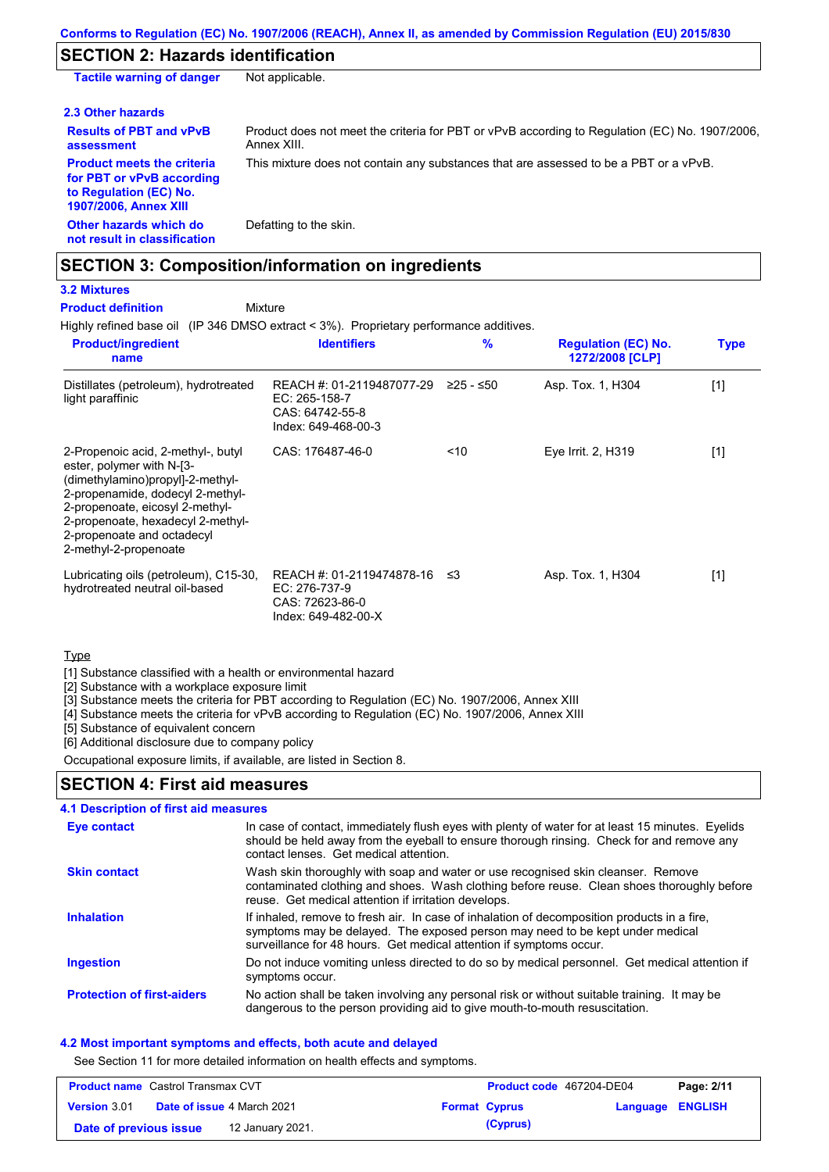# **SECTION 2: Hazards identification**

| <b>Tactile warning of danger</b>                                                                                         | Not applicable.                                                                                               |
|--------------------------------------------------------------------------------------------------------------------------|---------------------------------------------------------------------------------------------------------------|
| 2.3 Other hazards                                                                                                        |                                                                                                               |
| <b>Results of PBT and vPvB</b><br>assessment                                                                             | Product does not meet the criteria for PBT or vPvB according to Regulation (EC) No. 1907/2006,<br>Annex XIII. |
| <b>Product meets the criteria</b><br>for PBT or vPvB according<br>to Regulation (EC) No.<br><b>1907/2006, Annex XIII</b> | This mixture does not contain any substances that are assessed to be a PBT or a vPvB.                         |
| Other hazards which do<br>not result in classification                                                                   | Defatting to the skin.                                                                                        |

# **SECTION 3: Composition/information on ingredients**

Mixture

# **3.2 Mixtures**

**Product definition**

Highly refined base oil (IP 346 DMSO extract < 3%). Proprietary performance additives.

| <b>Product/ingredient</b><br>name                                                                                                                                                                                                                                      | <b>Identifiers</b>                                                                   | $\frac{9}{6}$ | <b>Regulation (EC) No.</b><br>1272/2008 [CLP] | <b>Type</b> |
|------------------------------------------------------------------------------------------------------------------------------------------------------------------------------------------------------------------------------------------------------------------------|--------------------------------------------------------------------------------------|---------------|-----------------------------------------------|-------------|
| Distillates (petroleum), hydrotreated<br>light paraffinic                                                                                                                                                                                                              | REACH #: 01-2119487077-29<br>EC: 265-158-7<br>CAS: 64742-55-8<br>Index: 649-468-00-3 | $≥25 - ≤50$   | Asp. Tox. 1, H304                             | $[1]$       |
| 2-Propenoic acid, 2-methyl-, butyl<br>ester, polymer with N-[3-<br>(dimethylamino)propyl]-2-methyl-<br>2-propenamide, dodecyl 2-methyl-<br>2-propenoate, eicosyl 2-methyl-<br>2-propenoate, hexadecyl 2-methyl-<br>2-propenoate and octadecyl<br>2-methyl-2-propenoate | CAS: 176487-46-0                                                                     | ~10           | Eye Irrit. 2, H319                            | $[1]$       |
| Lubricating oils (petroleum), C15-30,<br>hydrotreated neutral oil-based                                                                                                                                                                                                | REACH #: 01-2119474878-16<br>EC: 276-737-9<br>CAS: 72623-86-0<br>Index: 649-482-00-X | -≤3           | Asp. Tox. 1, H304                             | $[1]$       |

### **Type**

[1] Substance classified with a health or environmental hazard

[2] Substance with a workplace exposure limit

[3] Substance meets the criteria for PBT according to Regulation (EC) No. 1907/2006, Annex XIII

[4] Substance meets the criteria for vPvB according to Regulation (EC) No. 1907/2006, Annex XIII

[5] Substance of equivalent concern

[6] Additional disclosure due to company policy

Occupational exposure limits, if available, are listed in Section 8.

### **SECTION 4: First aid measures**

| 4.1 Description of first aid measures |                                                                                                                                                                                                                                                     |
|---------------------------------------|-----------------------------------------------------------------------------------------------------------------------------------------------------------------------------------------------------------------------------------------------------|
| <b>Eye contact</b>                    | In case of contact, immediately flush eyes with plenty of water for at least 15 minutes. Eyelids<br>should be held away from the eyeball to ensure thorough rinsing. Check for and remove any<br>contact lenses. Get medical attention.             |
| <b>Skin contact</b>                   | Wash skin thoroughly with soap and water or use recognised skin cleanser. Remove<br>contaminated clothing and shoes. Wash clothing before reuse. Clean shoes thoroughly before<br>reuse. Get medical attention if irritation develops.              |
| <b>Inhalation</b>                     | If inhaled, remove to fresh air. In case of inhalation of decomposition products in a fire,<br>symptoms may be delayed. The exposed person may need to be kept under medical<br>surveillance for 48 hours. Get medical attention if symptoms occur. |
| <b>Ingestion</b>                      | Do not induce vomiting unless directed to do so by medical personnel. Get medical attention if<br>symptoms occur.                                                                                                                                   |
| <b>Protection of first-aiders</b>     | No action shall be taken involving any personal risk or without suitable training. It may be<br>dangerous to the person providing aid to give mouth-to-mouth resuscitation.                                                                         |

### **4.2 Most important symptoms and effects, both acute and delayed**

See Section 11 for more detailed information on health effects and symptoms.

| <b>Product name</b> Castrol Transmax CVT |  | Product code 467204-DE04          |  | Page: 2/11           |                         |  |
|------------------------------------------|--|-----------------------------------|--|----------------------|-------------------------|--|
| <b>Version 3.01</b>                      |  | <b>Date of issue 4 March 2021</b> |  | <b>Format Cyprus</b> | <b>Language ENGLISH</b> |  |
| Date of previous issue                   |  | 12 January 2021.                  |  | (Cyprus)             |                         |  |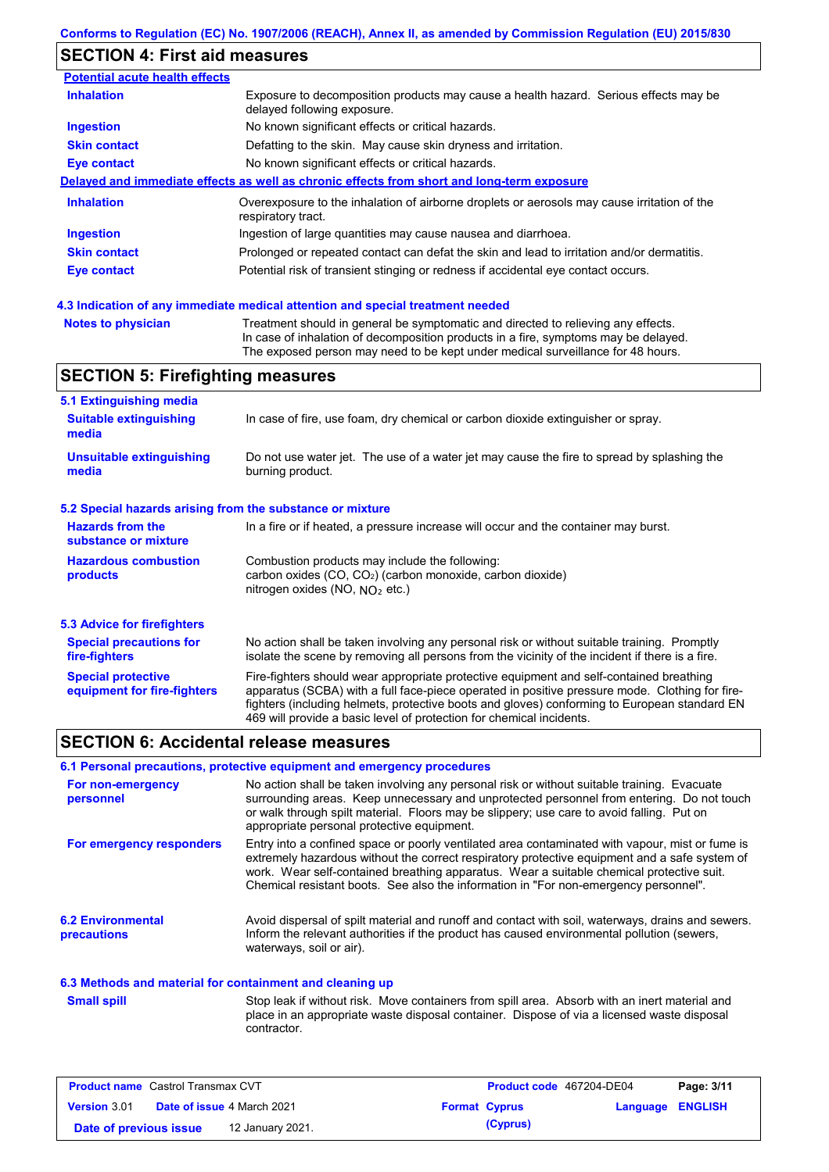### **SECTION 4: First aid measures**

| <b>Potential acute health effects</b> |                                                                                                                     |
|---------------------------------------|---------------------------------------------------------------------------------------------------------------------|
| <b>Inhalation</b>                     | Exposure to decomposition products may cause a health hazard. Serious effects may be<br>delayed following exposure. |
| <b>Ingestion</b>                      | No known significant effects or critical hazards.                                                                   |
| <b>Skin contact</b>                   | Defatting to the skin. May cause skin dryness and irritation.                                                       |
| Eye contact                           | No known significant effects or critical hazards.                                                                   |
|                                       | Delayed and immediate effects as well as chronic effects from short and long-term exposure                          |
| <b>Inhalation</b>                     | Overexposure to the inhalation of airborne droplets or aerosols may cause irritation of the<br>respiratory tract.   |
| <b>Ingestion</b>                      | Ingestion of large quantities may cause nausea and diarrhoea.                                                       |
| <b>Skin contact</b>                   | Prolonged or repeated contact can defat the skin and lead to irritation and/or dermatitis.                          |
| Eye contact                           | Potential risk of transient stinging or redness if accidental eye contact occurs.                                   |
|                                       |                                                                                                                     |

### **4.3 Indication of any immediate medical attention and special treatment needed**

```
Notes to physician Treatment should in general be symptomatic and directed to relieving any effects.
                   In case of inhalation of decomposition products in a fire, symptoms may be delayed.
                   The exposed person may need to be kept under medical surveillance for 48 hours.
```
# **SECTION 5: Firefighting measures**

| 5.1 Extinguishing media                                   |                                                                                                                                                                                                                                                                                                                                                                   |  |  |  |  |
|-----------------------------------------------------------|-------------------------------------------------------------------------------------------------------------------------------------------------------------------------------------------------------------------------------------------------------------------------------------------------------------------------------------------------------------------|--|--|--|--|
| <b>Suitable extinguishing</b><br>media                    | In case of fire, use foam, dry chemical or carbon dioxide extinguisher or spray.                                                                                                                                                                                                                                                                                  |  |  |  |  |
| <b>Unsuitable extinguishing</b><br>media                  | Do not use water jet. The use of a water jet may cause the fire to spread by splashing the<br>burning product.                                                                                                                                                                                                                                                    |  |  |  |  |
| 5.2 Special hazards arising from the substance or mixture |                                                                                                                                                                                                                                                                                                                                                                   |  |  |  |  |
| <b>Hazards from the</b><br>substance or mixture           | In a fire or if heated, a pressure increase will occur and the container may burst.                                                                                                                                                                                                                                                                               |  |  |  |  |
| <b>Hazardous combustion</b><br>products                   | Combustion products may include the following:<br>carbon oxides (CO, CO <sub>2</sub> ) (carbon monoxide, carbon dioxide)<br>nitrogen oxides (NO, $NQ_2$ etc.)                                                                                                                                                                                                     |  |  |  |  |
| 5.3 Advice for firefighters                               |                                                                                                                                                                                                                                                                                                                                                                   |  |  |  |  |
| <b>Special precautions for</b><br>fire-fighters           | No action shall be taken involving any personal risk or without suitable training. Promptly<br>isolate the scene by removing all persons from the vicinity of the incident if there is a fire.                                                                                                                                                                    |  |  |  |  |
| <b>Special protective</b><br>equipment for fire-fighters  | Fire-fighters should wear appropriate protective equipment and self-contained breathing<br>apparatus (SCBA) with a full face-piece operated in positive pressure mode. Clothing for fire-<br>fighters (including helmets, protective boots and gloves) conforming to European standard EN<br>469 will provide a basic level of protection for chemical incidents. |  |  |  |  |

# **SECTION 6: Accidental release measures**

### **6.1 Personal precautions, protective equipment and emergency procedures**

| For non-emergency<br>personnel                           | No action shall be taken involving any personal risk or without suitable training. Evacuate<br>surrounding areas. Keep unnecessary and unprotected personnel from entering. Do not touch<br>or walk through spilt material. Floors may be slippery; use care to avoid falling. Put on<br>appropriate personal protective equipment.                                                  |
|----------------------------------------------------------|--------------------------------------------------------------------------------------------------------------------------------------------------------------------------------------------------------------------------------------------------------------------------------------------------------------------------------------------------------------------------------------|
| For emergency responders                                 | Entry into a confined space or poorly ventilated area contaminated with vapour, mist or fume is<br>extremely hazardous without the correct respiratory protective equipment and a safe system of<br>work. Wear self-contained breathing apparatus. Wear a suitable chemical protective suit.<br>Chemical resistant boots. See also the information in "For non-emergency personnel". |
| <b>6.2 Environmental</b><br>precautions                  | Avoid dispersal of spilt material and runoff and contact with soil, waterways, drains and sewers.<br>Inform the relevant authorities if the product has caused environmental pollution (sewers,<br>waterways, soil or air).                                                                                                                                                          |
| 6.3 Methods and material for containment and cleaning up |                                                                                                                                                                                                                                                                                                                                                                                      |

#### Stop leak if without risk. Move containers from spill area. Absorb with an inert material and place in an appropriate waste disposal container. Dispose of via a licensed waste disposal contractor. **Small spill**

| <b>Product name</b> Castrol Transmax CVT |                                   | Product code 467204-DE04 |                      | Page: 3/11       |  |
|------------------------------------------|-----------------------------------|--------------------------|----------------------|------------------|--|
| <b>Version 3.01</b>                      | <b>Date of issue 4 March 2021</b> |                          | <b>Format Cyprus</b> | Language ENGLISH |  |
| Date of previous issue                   | 12 January 2021.                  |                          | (Cyprus)             |                  |  |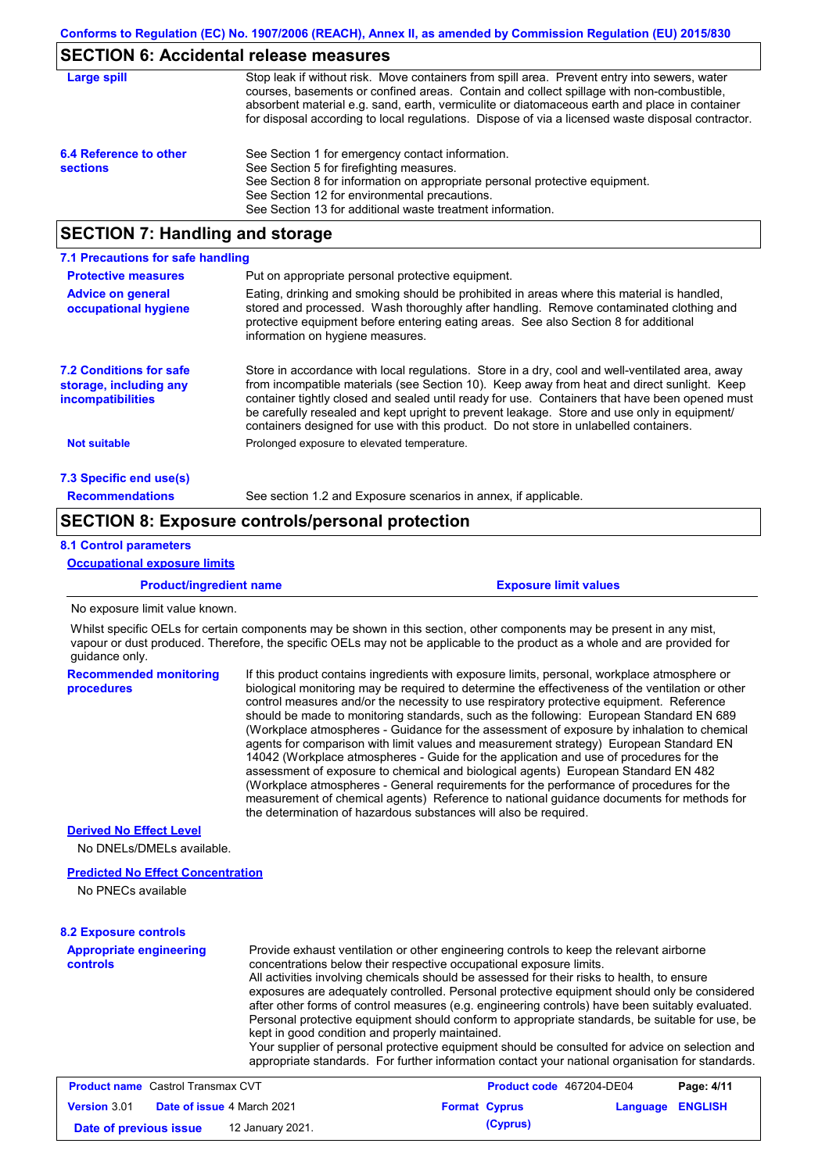# **SECTION 6: Accidental release measures**

| Large spill                               | Stop leak if without risk. Move containers from spill area. Prevent entry into sewers, water<br>courses, basements or confined areas. Contain and collect spillage with non-combustible,<br>absorbent material e.g. sand, earth, vermiculite or diatomaceous earth and place in container<br>for disposal according to local regulations. Dispose of via a licensed waste disposal contractor. |
|-------------------------------------------|------------------------------------------------------------------------------------------------------------------------------------------------------------------------------------------------------------------------------------------------------------------------------------------------------------------------------------------------------------------------------------------------|
| 6.4 Reference to other<br><b>sections</b> | See Section 1 for emergency contact information.<br>See Section 5 for firefighting measures.<br>See Section 8 for information on appropriate personal protective equipment.<br>See Section 12 for environmental precautions.<br>See Section 13 for additional waste treatment information.                                                                                                     |

# **SECTION 7: Handling and storage**

| 7.1 Precautions for safe handling                                                    |                                                                                                                                                                                                                                                                                                                                                                                                                                                                                          |
|--------------------------------------------------------------------------------------|------------------------------------------------------------------------------------------------------------------------------------------------------------------------------------------------------------------------------------------------------------------------------------------------------------------------------------------------------------------------------------------------------------------------------------------------------------------------------------------|
| <b>Protective measures</b>                                                           | Put on appropriate personal protective equipment.                                                                                                                                                                                                                                                                                                                                                                                                                                        |
| <b>Advice on general</b><br>occupational hygiene                                     | Eating, drinking and smoking should be prohibited in areas where this material is handled.<br>stored and processed. Wash thoroughly after handling. Remove contaminated clothing and<br>protective equipment before entering eating areas. See also Section 8 for additional<br>information on hygiene measures.                                                                                                                                                                         |
| <b>7.2 Conditions for safe</b><br>storage, including any<br><i>incompatibilities</i> | Store in accordance with local requiations. Store in a dry, cool and well-ventilated area, away<br>from incompatible materials (see Section 10). Keep away from heat and direct sunlight. Keep<br>container tightly closed and sealed until ready for use. Containers that have been opened must<br>be carefully resealed and kept upright to prevent leakage. Store and use only in equipment/<br>containers designed for use with this product. Do not store in unlabelled containers. |
| <b>Not suitable</b>                                                                  | Prolonged exposure to elevated temperature.                                                                                                                                                                                                                                                                                                                                                                                                                                              |
| 7.3 Specific end use(s)                                                              |                                                                                                                                                                                                                                                                                                                                                                                                                                                                                          |
| <b>Recommendations</b>                                                               | See section 1.2 and Exposure scenarios in annex, if applicable.                                                                                                                                                                                                                                                                                                                                                                                                                          |

### **SECTION 8: Exposure controls/personal protection**

### **8.1 Control parameters**

#### **Occupational exposure limits**

**Product/ingredient name Exposure limit values** 

No exposure limit value known.

Whilst specific OELs for certain components may be shown in this section, other components may be present in any mist, vapour or dust produced. Therefore, the specific OELs may not be applicable to the product as a whole and are provided for quidance only.

| <b>Recommended monitoring</b><br><b>procedures</b> | If this product contains ingredients with exposure limits, personal, workplace atmosphere or<br>biological monitoring may be required to determine the effectiveness of the ventilation or other<br>control measures and/or the necessity to use respiratory protective equipment. Reference<br>should be made to monitoring standards, such as the following: European Standard EN 689<br>(Workplace atmospheres - Guidance for the assessment of exposure by inhalation to chemical<br>agents for comparison with limit values and measurement strategy) European Standard EN<br>14042 (Workplace atmospheres - Guide for the application and use of procedures for the<br>assessment of exposure to chemical and biological agents) European Standard EN 482<br>(Workplace atmospheres - General requirements for the performance of procedures for the<br>measurement of chemical agents) Reference to national guidance documents for methods for<br>the determination of hazardous substances will also be required. |  |
|----------------------------------------------------|----------------------------------------------------------------------------------------------------------------------------------------------------------------------------------------------------------------------------------------------------------------------------------------------------------------------------------------------------------------------------------------------------------------------------------------------------------------------------------------------------------------------------------------------------------------------------------------------------------------------------------------------------------------------------------------------------------------------------------------------------------------------------------------------------------------------------------------------------------------------------------------------------------------------------------------------------------------------------------------------------------------------------|--|
| <b>Derived No Effect Level</b>                     |                                                                                                                                                                                                                                                                                                                                                                                                                                                                                                                                                                                                                                                                                                                                                                                                                                                                                                                                                                                                                            |  |
| No DNEL s/DMEL s available                         |                                                                                                                                                                                                                                                                                                                                                                                                                                                                                                                                                                                                                                                                                                                                                                                                                                                                                                                                                                                                                            |  |

### **Predicted No Effect Concentration**

No PNECs available

#### **8.2 Exposure controls**

**Appropriate engineering controls** Provide exhaust ventilation or other engineering controls to keep the relevant airborne concentrations below their respective occupational exposure limits. All activities involving chemicals should be assessed for their risks to health, to ensure exposures are adequately controlled. Personal protective equipment should only be considered after other forms of control measures (e.g. engineering controls) have been suitably evaluated. Personal protective equipment should conform to appropriate standards, be suitable for use, be kept in good condition and properly maintained. Your supplier of personal protective equipment should be consulted for advice on selection and appropriate standards. For further information contact your national organisation for standards.

| <b>Product name</b> Castrol Transmax CVT |  | Product code 467204-DE04          |  | Page: 4/11           |                         |  |
|------------------------------------------|--|-----------------------------------|--|----------------------|-------------------------|--|
| <b>Version 3.01</b>                      |  | <b>Date of issue 4 March 2021</b> |  | <b>Format Cyprus</b> | <b>Language ENGLISH</b> |  |
| Date of previous issue                   |  | 12 January 2021.                  |  | (Cyprus)             |                         |  |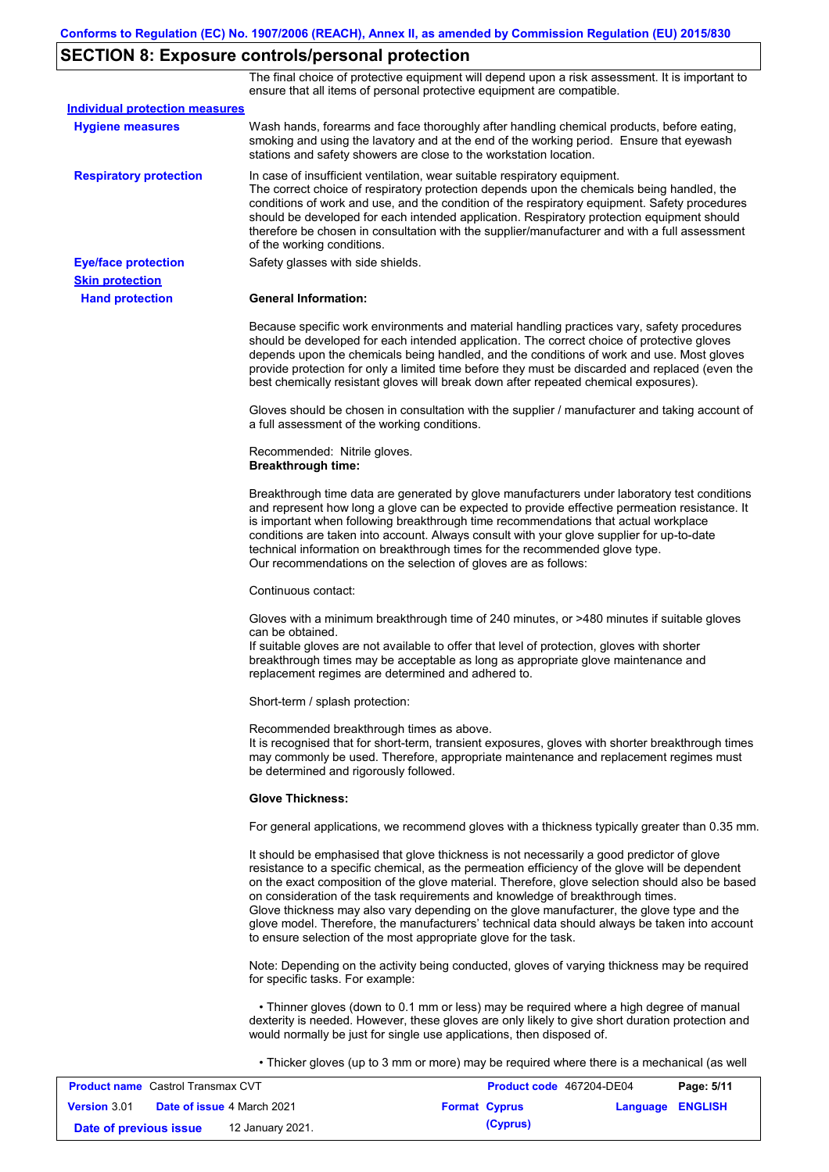# **SECTION 8: Exposure controls/personal protection**

The final choice of protective equipment will depend upon a risk assessment. It is important to ensure that all items of personal protective equipment are compatible.

| <b>Individual protection measures</b> |                                                                                                                                                                                                                                                                                                                                                                                                                                                                                                                                                                                                                                                   |
|---------------------------------------|---------------------------------------------------------------------------------------------------------------------------------------------------------------------------------------------------------------------------------------------------------------------------------------------------------------------------------------------------------------------------------------------------------------------------------------------------------------------------------------------------------------------------------------------------------------------------------------------------------------------------------------------------|
| <b>Hygiene measures</b>               | Wash hands, forearms and face thoroughly after handling chemical products, before eating,<br>smoking and using the lavatory and at the end of the working period. Ensure that eyewash<br>stations and safety showers are close to the workstation location.                                                                                                                                                                                                                                                                                                                                                                                       |
| <b>Respiratory protection</b>         | In case of insufficient ventilation, wear suitable respiratory equipment.<br>The correct choice of respiratory protection depends upon the chemicals being handled, the<br>conditions of work and use, and the condition of the respiratory equipment. Safety procedures<br>should be developed for each intended application. Respiratory protection equipment should<br>therefore be chosen in consultation with the supplier/manufacturer and with a full assessment<br>of the working conditions.                                                                                                                                             |
| <b>Eye/face protection</b>            | Safety glasses with side shields.                                                                                                                                                                                                                                                                                                                                                                                                                                                                                                                                                                                                                 |
| <b>Skin protection</b>                |                                                                                                                                                                                                                                                                                                                                                                                                                                                                                                                                                                                                                                                   |
| <b>Hand protection</b>                | <b>General Information:</b>                                                                                                                                                                                                                                                                                                                                                                                                                                                                                                                                                                                                                       |
|                                       | Because specific work environments and material handling practices vary, safety procedures<br>should be developed for each intended application. The correct choice of protective gloves<br>depends upon the chemicals being handled, and the conditions of work and use. Most gloves<br>provide protection for only a limited time before they must be discarded and replaced (even the<br>best chemically resistant gloves will break down after repeated chemical exposures).                                                                                                                                                                  |
|                                       | Gloves should be chosen in consultation with the supplier / manufacturer and taking account of<br>a full assessment of the working conditions.                                                                                                                                                                                                                                                                                                                                                                                                                                                                                                    |
|                                       | Recommended: Nitrile gloves.<br><b>Breakthrough time:</b>                                                                                                                                                                                                                                                                                                                                                                                                                                                                                                                                                                                         |
|                                       | Breakthrough time data are generated by glove manufacturers under laboratory test conditions<br>and represent how long a glove can be expected to provide effective permeation resistance. It<br>is important when following breakthrough time recommendations that actual workplace<br>conditions are taken into account. Always consult with your glove supplier for up-to-date<br>technical information on breakthrough times for the recommended glove type.<br>Our recommendations on the selection of gloves are as follows:                                                                                                                |
|                                       | Continuous contact:                                                                                                                                                                                                                                                                                                                                                                                                                                                                                                                                                                                                                               |
|                                       | Gloves with a minimum breakthrough time of 240 minutes, or >480 minutes if suitable gloves<br>can be obtained.<br>If suitable gloves are not available to offer that level of protection, gloves with shorter<br>breakthrough times may be acceptable as long as appropriate glove maintenance and<br>replacement regimes are determined and adhered to.                                                                                                                                                                                                                                                                                          |
|                                       | Short-term / splash protection:                                                                                                                                                                                                                                                                                                                                                                                                                                                                                                                                                                                                                   |
|                                       | Recommended breakthrough times as above.<br>It is recognised that for short-term, transient exposures, gloves with shorter breakthrough times<br>may commonly be used. Therefore, appropriate maintenance and replacement regimes must<br>be determined and rigorously followed.                                                                                                                                                                                                                                                                                                                                                                  |
|                                       | <b>Glove Thickness:</b>                                                                                                                                                                                                                                                                                                                                                                                                                                                                                                                                                                                                                           |
|                                       | For general applications, we recommend gloves with a thickness typically greater than 0.35 mm.                                                                                                                                                                                                                                                                                                                                                                                                                                                                                                                                                    |
|                                       | It should be emphasised that glove thickness is not necessarily a good predictor of glove<br>resistance to a specific chemical, as the permeation efficiency of the glove will be dependent<br>on the exact composition of the glove material. Therefore, glove selection should also be based<br>on consideration of the task requirements and knowledge of breakthrough times.<br>Glove thickness may also vary depending on the glove manufacturer, the glove type and the<br>glove model. Therefore, the manufacturers' technical data should always be taken into account<br>to ensure selection of the most appropriate glove for the task. |
|                                       | Note: Depending on the activity being conducted, gloves of varying thickness may be required<br>for specific tasks. For example:                                                                                                                                                                                                                                                                                                                                                                                                                                                                                                                  |
|                                       | • Thinner gloves (down to 0.1 mm or less) may be required where a high degree of manual<br>dexterity is needed. However, these gloves are only likely to give short duration protection and<br>would normally be just for single use applications, then disposed of.                                                                                                                                                                                                                                                                                                                                                                              |
|                                       | • Thicker gloves (up to 3 mm or more) may be required where there is a mechanical (as well                                                                                                                                                                                                                                                                                                                                                                                                                                                                                                                                                        |

| <b>Product name</b> Castrol Transmax CVT |  | <b>Product code</b> 467204-DE04   |  | Page: 5/11           |                         |  |
|------------------------------------------|--|-----------------------------------|--|----------------------|-------------------------|--|
| <b>Version 3.01</b>                      |  | <b>Date of issue 4 March 2021</b> |  | <b>Format Cyprus</b> | <b>Language ENGLISH</b> |  |
| Date of previous issue                   |  | 12 January 2021.                  |  | (Cyprus)             |                         |  |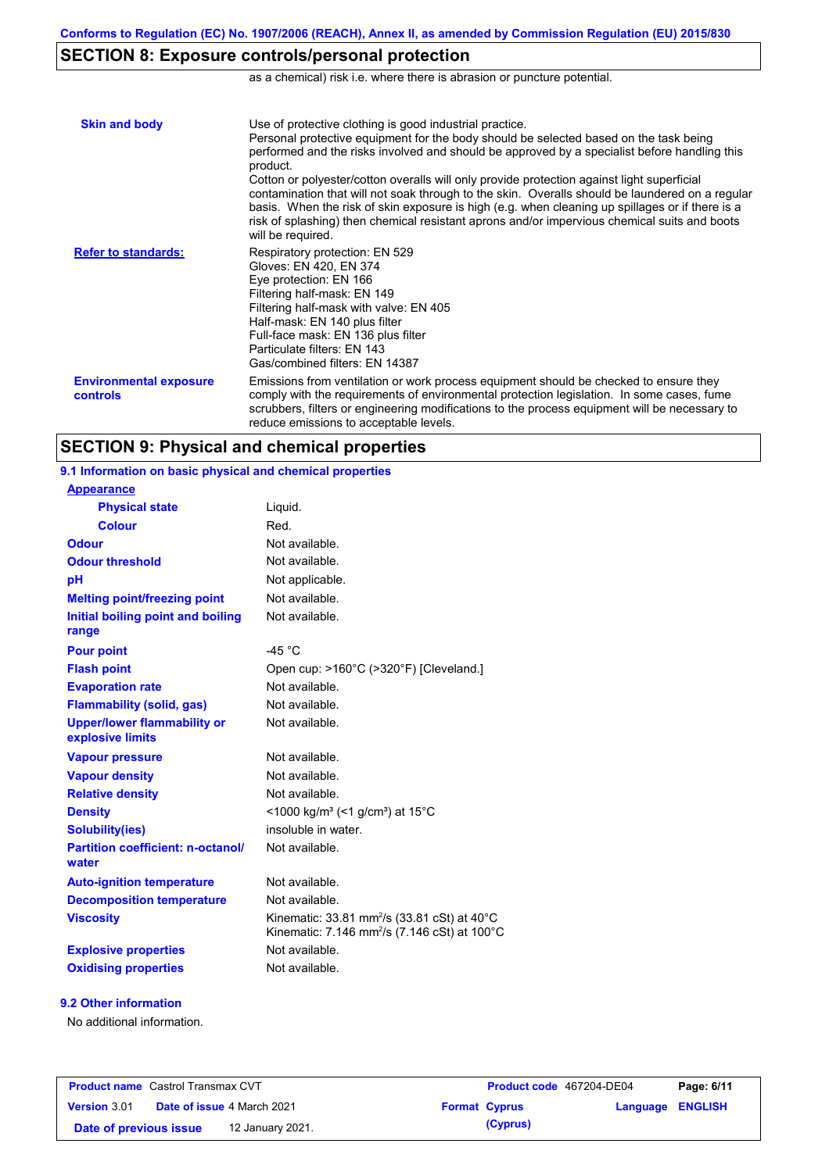# **SECTION 8: Exposure controls/personal protection**

as a chemical) risk i.e. where there is abrasion or puncture potential.

| <b>Skin and body</b>                             | Use of protective clothing is good industrial practice.<br>Personal protective equipment for the body should be selected based on the task being<br>performed and the risks involved and should be approved by a specialist before handling this<br>product.<br>Cotton or polyester/cotton overalls will only provide protection against light superficial<br>contamination that will not soak through to the skin. Overalls should be laundered on a regular<br>basis. When the risk of skin exposure is high (e.g. when cleaning up spillages or if there is a<br>risk of splashing) then chemical resistant aprons and/or impervious chemical suits and boots<br>will be required. |
|--------------------------------------------------|---------------------------------------------------------------------------------------------------------------------------------------------------------------------------------------------------------------------------------------------------------------------------------------------------------------------------------------------------------------------------------------------------------------------------------------------------------------------------------------------------------------------------------------------------------------------------------------------------------------------------------------------------------------------------------------|
| <b>Refer to standards:</b>                       | Respiratory protection: EN 529<br>Gloves: EN 420, EN 374<br>Eye protection: EN 166<br>Filtering half-mask: EN 149<br>Filtering half-mask with valve: EN 405<br>Half-mask: EN 140 plus filter<br>Full-face mask: EN 136 plus filter<br>Particulate filters: EN 143<br>Gas/combined filters: EN 14387                                                                                                                                                                                                                                                                                                                                                                                   |
| <b>Environmental exposure</b><br><b>controls</b> | Emissions from ventilation or work process equipment should be checked to ensure they<br>comply with the requirements of environmental protection legislation. In some cases, fume<br>scrubbers, filters or engineering modifications to the process equipment will be necessary to<br>reduce emissions to acceptable levels.                                                                                                                                                                                                                                                                                                                                                         |

# **SECTION 9: Physical and chemical properties**

**9.1 Information on basic physical and chemical properties**

| Liquid.                                                                                                             |
|---------------------------------------------------------------------------------------------------------------------|
| Red.                                                                                                                |
| Not available.                                                                                                      |
| Not available.                                                                                                      |
| Not applicable.                                                                                                     |
| Not available.                                                                                                      |
| Not available.                                                                                                      |
| -45 $°C$                                                                                                            |
| Open cup: >160°C (>320°F) [Cleveland.]                                                                              |
| Not available.                                                                                                      |
| Not available.                                                                                                      |
| Not available.                                                                                                      |
| Not available.                                                                                                      |
| Not available.                                                                                                      |
| Not available.                                                                                                      |
| <1000 kg/m <sup>3</sup> (<1 g/cm <sup>3</sup> ) at 15 <sup>°</sup> C                                                |
| insoluble in water.                                                                                                 |
| Not available.                                                                                                      |
| Not available.                                                                                                      |
| Not available.                                                                                                      |
| Kinematic: 33.81 mm <sup>2</sup> /s (33.81 cSt) at 40°C<br>Kinematic: 7.146 mm <sup>2</sup> /s (7.146 cSt) at 100°C |
| Not available.                                                                                                      |
| Not available.                                                                                                      |
|                                                                                                                     |

### **9.2 Other information**

**Appearance**

No additional information.

| <b>Product name</b> Castrol Transmax CVT |  | <b>Product code</b> 467204-DE04   |  | Page: 6/11           |                         |  |
|------------------------------------------|--|-----------------------------------|--|----------------------|-------------------------|--|
| <b>Version 3.01</b>                      |  | <b>Date of issue 4 March 2021</b> |  | <b>Format Cyprus</b> | <b>Language ENGLISH</b> |  |
| Date of previous issue                   |  | 12 January 2021.                  |  | (Cyprus)             |                         |  |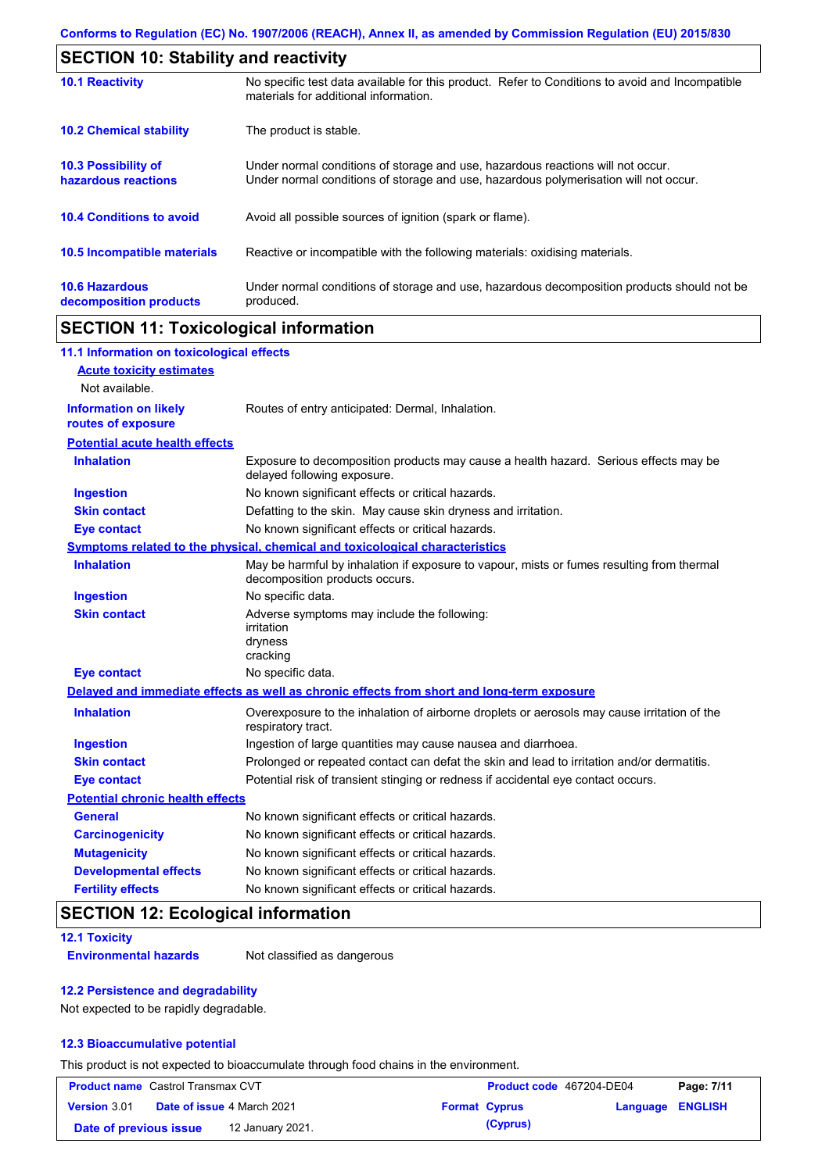| <b>SECTION 10: Stability and reactivity</b>       |                                                                                                                                                                         |  |
|---------------------------------------------------|-------------------------------------------------------------------------------------------------------------------------------------------------------------------------|--|
| <b>10.1 Reactivity</b>                            | No specific test data available for this product. Refer to Conditions to avoid and Incompatible<br>materials for additional information.                                |  |
| <b>10.2 Chemical stability</b>                    | The product is stable.                                                                                                                                                  |  |
| <b>10.3 Possibility of</b><br>hazardous reactions | Under normal conditions of storage and use, hazardous reactions will not occur.<br>Under normal conditions of storage and use, hazardous polymerisation will not occur. |  |
| <b>10.4 Conditions to avoid</b>                   | Avoid all possible sources of ignition (spark or flame).                                                                                                                |  |
| 10.5 Incompatible materials                       | Reactive or incompatible with the following materials: oxidising materials.                                                                                             |  |
| <b>10.6 Hazardous</b><br>decomposition products   | Under normal conditions of storage and use, hazardous decomposition products should not be<br>produced.                                                                 |  |

# **SECTION 11: Toxicological information**

| 11.1 Information on toxicological effects          |                                                                                                                             |
|----------------------------------------------------|-----------------------------------------------------------------------------------------------------------------------------|
| <b>Acute toxicity estimates</b>                    |                                                                                                                             |
| Not available.                                     |                                                                                                                             |
| <b>Information on likely</b><br>routes of exposure | Routes of entry anticipated: Dermal, Inhalation.                                                                            |
| <b>Potential acute health effects</b>              |                                                                                                                             |
| <b>Inhalation</b>                                  | Exposure to decomposition products may cause a health hazard. Serious effects may be<br>delayed following exposure.         |
| <b>Ingestion</b>                                   | No known significant effects or critical hazards.                                                                           |
| <b>Skin contact</b>                                | Defatting to the skin. May cause skin dryness and irritation.                                                               |
| <b>Eye contact</b>                                 | No known significant effects or critical hazards.                                                                           |
|                                                    | Symptoms related to the physical, chemical and toxicological characteristics                                                |
| <b>Inhalation</b>                                  | May be harmful by inhalation if exposure to vapour, mists or fumes resulting from thermal<br>decomposition products occurs. |
| <b>Ingestion</b>                                   | No specific data.                                                                                                           |
| <b>Skin contact</b>                                | Adverse symptoms may include the following:<br>irritation<br>dryness<br>cracking                                            |
| <b>Eye contact</b>                                 | No specific data.                                                                                                           |
|                                                    | Delayed and immediate effects as well as chronic effects from short and long-term exposure                                  |
| <b>Inhalation</b>                                  | Overexposure to the inhalation of airborne droplets or aerosols may cause irritation of the<br>respiratory tract.           |
| <b>Ingestion</b>                                   | Ingestion of large quantities may cause nausea and diarrhoea.                                                               |
| <b>Skin contact</b>                                | Prolonged or repeated contact can defat the skin and lead to irritation and/or dermatitis.                                  |
| <b>Eye contact</b>                                 | Potential risk of transient stinging or redness if accidental eye contact occurs.                                           |
| <b>Potential chronic health effects</b>            |                                                                                                                             |
| <b>General</b>                                     | No known significant effects or critical hazards.                                                                           |
| <b>Carcinogenicity</b>                             | No known significant effects or critical hazards.                                                                           |
| <b>Mutagenicity</b>                                | No known significant effects or critical hazards.                                                                           |
| <b>Developmental effects</b>                       | No known significant effects or critical hazards.                                                                           |
| <b>Fertility effects</b>                           | No known significant effects or critical hazards.                                                                           |

# **SECTION 12: Ecological information**

### **12.1 Toxicity**

**Environmental hazards** Not classified as dangerous

### **12.2 Persistence and degradability**

Not expected to be rapidly degradable.

### **12.3 Bioaccumulative potential**

This product is not expected to bioaccumulate through food chains in the environment.

| <b>Product name</b> Castrol Transmax CVT |  | Product code 467204-DE04          |  | Page: 7/11           |                  |  |
|------------------------------------------|--|-----------------------------------|--|----------------------|------------------|--|
| <b>Version 3.01</b>                      |  | <b>Date of issue 4 March 2021</b> |  | <b>Format Cyprus</b> | Language ENGLISH |  |
| Date of previous issue                   |  | 12 January 2021.                  |  | (Cyprus)             |                  |  |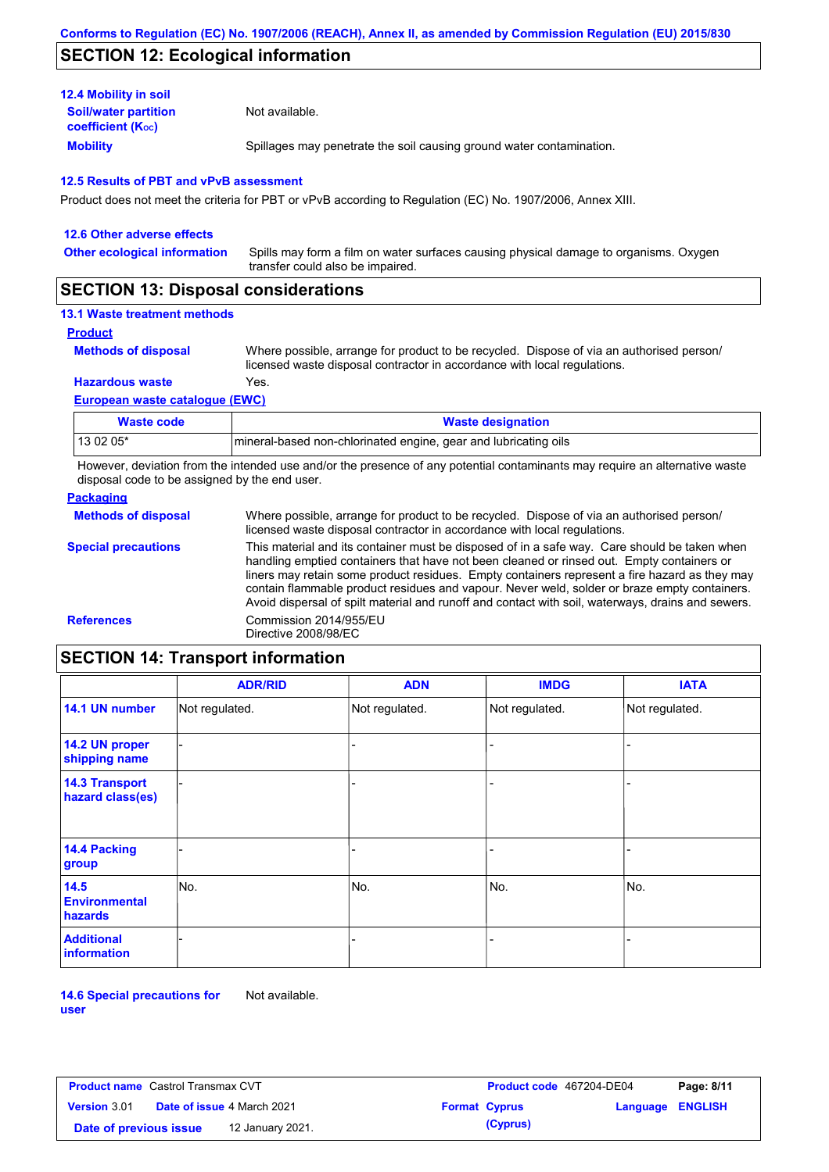# **SECTION 12: Ecological information**

| <b>12.4 Mobility in soil</b>                            |                                                                      |
|---------------------------------------------------------|----------------------------------------------------------------------|
| <b>Soil/water partition</b><br><b>coefficient (Koc)</b> | Not available.                                                       |
| <b>Mobility</b>                                         | Spillages may penetrate the soil causing ground water contamination. |

### **12.5 Results of PBT and vPvB assessment**

Product does not meet the criteria for PBT or vPvB according to Regulation (EC) No. 1907/2006, Annex XIII.

| 12.6 Other adverse effects          |                                                                                                                           |
|-------------------------------------|---------------------------------------------------------------------------------------------------------------------------|
| <b>Other ecological information</b> | Spills may form a film on water surfaces causing physical damage to organisms. Oxygen<br>transfer could also be impaired. |
| $- - - - - - - - - - - - - -$       |                                                                                                                           |

### **SECTION 13: Disposal considerations**

### **13.1 Waste treatment methods**

**Product**

```
Methods of disposal
```
Where possible, arrange for product to be recycled. Dispose of via an authorised person/ licensed waste disposal contractor in accordance with local regulations.

**Hazardous waste** Yes.

### **European waste catalogue (EWC)**

| Waste code | <b>Waste designation</b>                                         |
|------------|------------------------------------------------------------------|
| 13 02 05*  | Imineral-based non-chlorinated engine, gear and lubricating oils |

However, deviation from the intended use and/or the presence of any potential contaminants may require an alternative waste disposal code to be assigned by the end user.

### **Packaging**

| <b>Methods of disposal</b> | Where possible, arrange for product to be recycled. Dispose of via an authorised person/<br>licensed waste disposal contractor in accordance with local regulations.                                                                                                                                                                                                                                                                                                                            |
|----------------------------|-------------------------------------------------------------------------------------------------------------------------------------------------------------------------------------------------------------------------------------------------------------------------------------------------------------------------------------------------------------------------------------------------------------------------------------------------------------------------------------------------|
| <b>Special precautions</b> | This material and its container must be disposed of in a safe way. Care should be taken when<br>handling emptied containers that have not been cleaned or rinsed out. Empty containers or<br>liners may retain some product residues. Empty containers represent a fire hazard as they may<br>contain flammable product residues and vapour. Never weld, solder or braze empty containers.<br>Avoid dispersal of spilt material and runoff and contact with soil, waterways, drains and sewers. |
| <b>References</b>          | Commission 2014/955/EU<br>Directive 2008/98/EC                                                                                                                                                                                                                                                                                                                                                                                                                                                  |

# **SECTION 14: Transport information**

|                                           | <b>ADR/RID</b> | <b>ADN</b>     | <b>IMDG</b>    | <b>IATA</b>    |  |  |
|-------------------------------------------|----------------|----------------|----------------|----------------|--|--|
| 14.1 UN number                            | Not regulated. | Not regulated. | Not regulated. | Not regulated. |  |  |
| 14.2 UN proper<br>shipping name           |                |                |                |                |  |  |
| <b>14.3 Transport</b><br>hazard class(es) |                |                | -              |                |  |  |
| 14.4 Packing<br>group                     |                |                | -              |                |  |  |
| 14.5<br><b>Environmental</b><br>hazards   | No.            | No.            | No.            | No.            |  |  |
| <b>Additional</b><br>information          |                |                | -              |                |  |  |

**14.6 Special precautions for user** Not available.

| <b>Product name</b> Castrol Transmax CVT |                                   |                  | <b>Product code</b> 467204-DE04 |                      | Page: 8/11       |  |
|------------------------------------------|-----------------------------------|------------------|---------------------------------|----------------------|------------------|--|
| <b>Version 3.01</b>                      | <b>Date of issue 4 March 2021</b> |                  |                                 | <b>Format Cyprus</b> | Language ENGLISH |  |
| Date of previous issue                   |                                   | 12 January 2021. |                                 | (Cyprus)             |                  |  |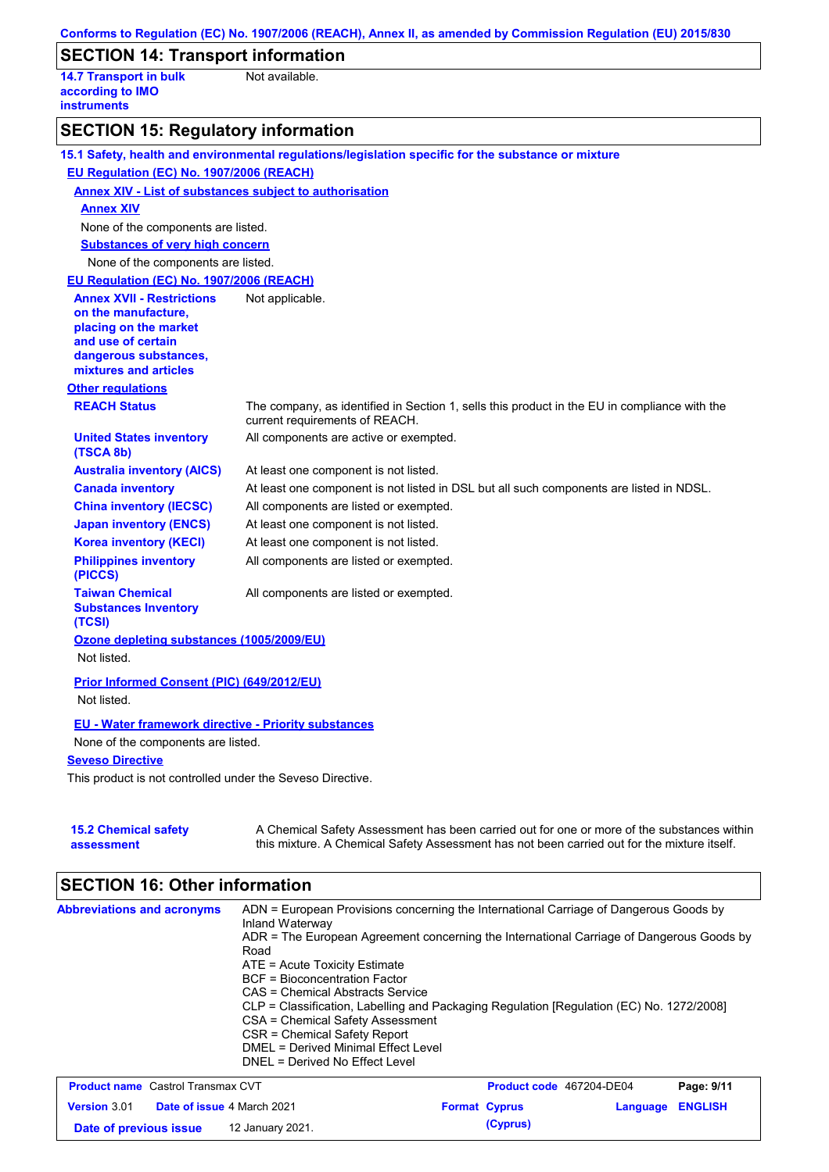|                                                                         | Conforms to Regulation (EC) No. 1907/2006 (REACH), Annex II, as amended by Commission Regulation (EU) 2015/830                                                                            |
|-------------------------------------------------------------------------|-------------------------------------------------------------------------------------------------------------------------------------------------------------------------------------------|
| <b>SECTION 14: Transport information</b>                                |                                                                                                                                                                                           |
| <b>14.7 Transport in bulk</b><br>according to IMO<br><b>instruments</b> | Not available.                                                                                                                                                                            |
| <b>SECTION 15: Regulatory information</b>                               |                                                                                                                                                                                           |
|                                                                         | 15.1 Safety, health and environmental regulations/legislation specific for the substance or mixture                                                                                       |
| EU Regulation (EC) No. 1907/2006 (REACH)                                |                                                                                                                                                                                           |
| <b>Annex XIV - List of substances subject to authorisation</b>          |                                                                                                                                                                                           |
| <b>Annex XIV</b>                                                        |                                                                                                                                                                                           |
| None of the components are listed.                                      |                                                                                                                                                                                           |
| <b>Substances of very high concern</b>                                  |                                                                                                                                                                                           |
| None of the components are listed.                                      |                                                                                                                                                                                           |
| EU Regulation (EC) No. 1907/2006 (REACH)                                |                                                                                                                                                                                           |
| <b>Annex XVII - Restrictions</b>                                        | Not applicable.                                                                                                                                                                           |
| on the manufacture,                                                     |                                                                                                                                                                                           |
| placing on the market<br>and use of certain                             |                                                                                                                                                                                           |
| dangerous substances,                                                   |                                                                                                                                                                                           |
| mixtures and articles                                                   |                                                                                                                                                                                           |
| <b>Other regulations</b>                                                |                                                                                                                                                                                           |
| <b>REACH Status</b>                                                     | The company, as identified in Section 1, sells this product in the EU in compliance with the<br>current requirements of REACH.                                                            |
| <b>United States inventory</b><br>(TSCA 8b)                             | All components are active or exempted.                                                                                                                                                    |
| <b>Australia inventory (AICS)</b>                                       | At least one component is not listed.                                                                                                                                                     |
| <b>Canada inventory</b>                                                 | At least one component is not listed in DSL but all such components are listed in NDSL.                                                                                                   |
| <b>China inventory (IECSC)</b>                                          | All components are listed or exempted.                                                                                                                                                    |
| <b>Japan inventory (ENCS)</b>                                           | At least one component is not listed.                                                                                                                                                     |
| <b>Korea inventory (KECI)</b>                                           | At least one component is not listed.                                                                                                                                                     |
| <b>Philippines inventory</b><br>(PICCS)                                 | All components are listed or exempted.                                                                                                                                                    |
| <b>Taiwan Chemical</b><br><b>Substances Inventory</b><br>(TCSI)         | All components are listed or exempted.                                                                                                                                                    |
| Ozone depleting substances (1005/2009/EU)                               |                                                                                                                                                                                           |
| Not listed.                                                             |                                                                                                                                                                                           |
| Prior Informed Consent (PIC) (649/2012/EU)                              |                                                                                                                                                                                           |
| Not listed.                                                             |                                                                                                                                                                                           |
| <b>EU - Water framework directive - Priority substances</b>             |                                                                                                                                                                                           |
| None of the components are listed.                                      |                                                                                                                                                                                           |
| <b>Seveso Directive</b>                                                 |                                                                                                                                                                                           |
| This product is not controlled under the Seveso Directive.              |                                                                                                                                                                                           |
| <b>15.2 Chemical safety</b><br>assessment                               | A Chemical Safety Assessment has been carried out for one or more of the substances within<br>this mixture. A Chemical Safety Assessment has not been carried out for the mixture itself. |

# **SECTION 16: Other information**

| <b>Abbreviations and acronyms</b>        | ADN = European Provisions concerning the International Carriage of Dangerous Goods by<br>Inland Waterway<br>ADR = The European Agreement concerning the International Carriage of Dangerous Goods by<br>Road<br>$ATE = Acute Toxicity Estimate$<br>BCF = Bioconcentration Factor<br>CAS = Chemical Abstracts Service<br>CLP = Classification, Labelling and Packaging Regulation [Regulation (EC) No. 1272/2008]<br>CSA = Chemical Safety Assessment<br>CSR = Chemical Safety Report<br>DMEL = Derived Minimal Effect Level<br>DNEL = Derived No Effect Level |                                 |            |
|------------------------------------------|---------------------------------------------------------------------------------------------------------------------------------------------------------------------------------------------------------------------------------------------------------------------------------------------------------------------------------------------------------------------------------------------------------------------------------------------------------------------------------------------------------------------------------------------------------------|---------------------------------|------------|
| <b>Droduct name</b> Castrol Transmay CVT |                                                                                                                                                                                                                                                                                                                                                                                                                                                                                                                                                               | <b>Droduct code</b> 467204 DE04 | $D2Q2Q1Q1$ |

| <b>Product name</b> Castrol Transmax CVT |  |                                   | Product code 467204-DE04 | Page: 9/11           |                  |  |
|------------------------------------------|--|-----------------------------------|--------------------------|----------------------|------------------|--|
| <b>Version 3.01</b>                      |  | <b>Date of issue 4 March 2021</b> |                          | <b>Format Cyprus</b> | Language ENGLISH |  |
| Date of previous issue                   |  | 12 January 2021.                  |                          | (Cyprus)             |                  |  |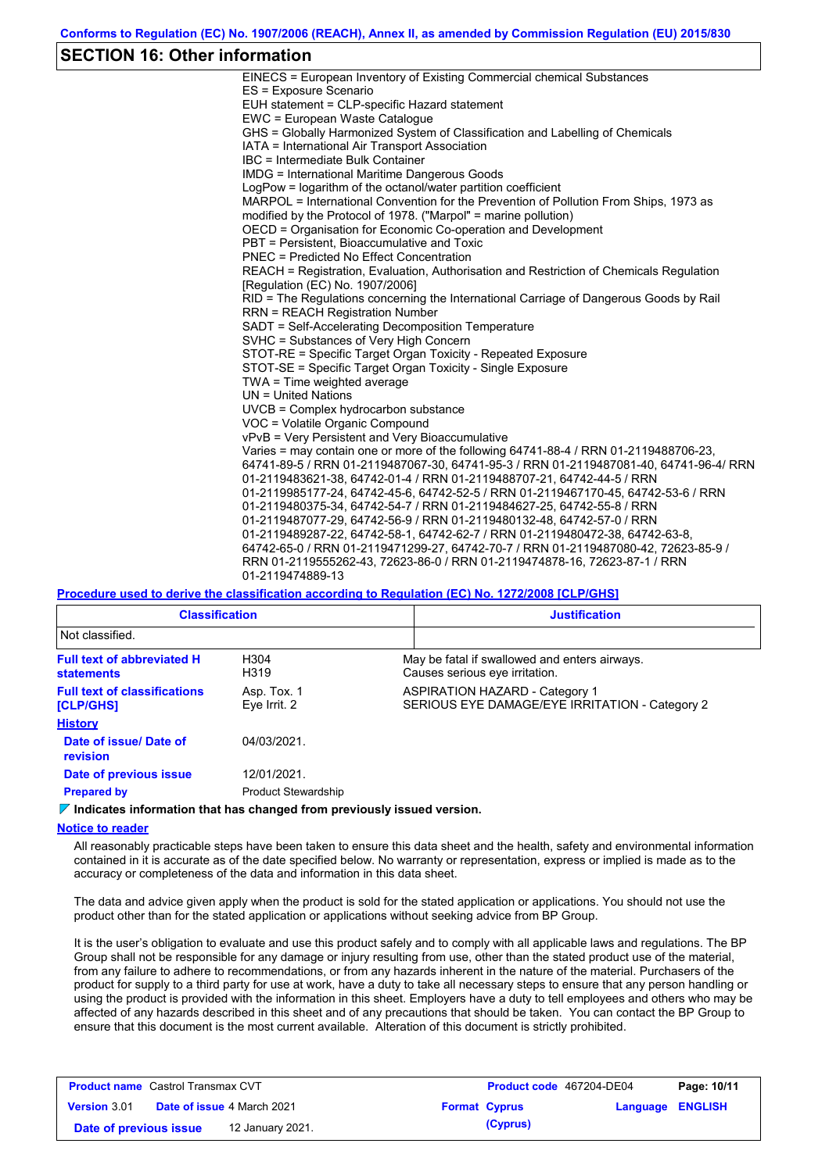### **SECTION 16: Other information**

| EINECS = European Inventory of Existing Commercial chemical Substances                  |
|-----------------------------------------------------------------------------------------|
| ES = Exposure Scenario                                                                  |
| EUH statement = CLP-specific Hazard statement                                           |
| EWC = European Waste Catalogue                                                          |
| GHS = Globally Harmonized System of Classification and Labelling of Chemicals           |
| IATA = International Air Transport Association                                          |
| IBC = Intermediate Bulk Container                                                       |
| <b>IMDG = International Maritime Dangerous Goods</b>                                    |
| LogPow = logarithm of the octanol/water partition coefficient                           |
| MARPOL = International Convention for the Prevention of Pollution From Ships, 1973 as   |
| modified by the Protocol of 1978. ("Marpol" = marine pollution)                         |
| OECD = Organisation for Economic Co-operation and Development                           |
| PBT = Persistent. Bioaccumulative and Toxic                                             |
| <b>PNEC = Predicted No Effect Concentration</b>                                         |
| REACH = Registration, Evaluation, Authorisation and Restriction of Chemicals Regulation |
| [Requlation (EC) No. 1907/2006]                                                         |
| RID = The Regulations concerning the International Carriage of Dangerous Goods by Rail  |
| <b>RRN = REACH Registration Number</b>                                                  |
| SADT = Self-Accelerating Decomposition Temperature                                      |
| SVHC = Substances of Very High Concern                                                  |
| STOT-RE = Specific Target Organ Toxicity - Repeated Exposure                            |
| STOT-SE = Specific Target Organ Toxicity - Single Exposure                              |
| TWA = Time weighted average                                                             |
| $UN = United Nations$                                                                   |
| $UVCB = Complex\;hydrocarbon\; substance$                                               |
| VOC = Volatile Organic Compound                                                         |
| vPvB = Very Persistent and Very Bioaccumulative                                         |
| Varies = may contain one or more of the following 64741-88-4 / RRN 01-2119488706-23,    |
| 64741-89-5 / RRN 01-2119487067-30, 64741-95-3 / RRN 01-2119487081-40, 64741-96-4/ RRN   |
| 01-2119483621-38, 64742-01-4 / RRN 01-2119488707-21, 64742-44-5 / RRN                   |
| 01-2119985177-24, 64742-45-6, 64742-52-5 / RRN 01-2119467170-45, 64742-53-6 / RRN       |
| 01-2119480375-34, 64742-54-7 / RRN 01-2119484627-25, 64742-55-8 / RRN                   |
| 01-2119487077-29, 64742-56-9 / RRN 01-2119480132-48, 64742-57-0 / RRN                   |
| 01-2119489287-22, 64742-58-1, 64742-62-7 / RRN 01-2119480472-38, 64742-63-8,            |
| 64742-65-0 / RRN 01-2119471299-27, 64742-70-7 / RRN 01-2119487080-42, 72623-85-9 /      |
| RRN 01-2119555262-43, 72623-86-0 / RRN 01-2119474878-16, 72623-87-1 / RRN               |
| 01-2119474889-13                                                                        |
|                                                                                         |

#### **Procedure used to derive the classification according to Regulation (EC) No. 1272/2008 [CLP/GHS]**

| <b>Classification</b>                                  |                                           | <b>Justification</b> |                                                                                         |  |
|--------------------------------------------------------|-------------------------------------------|----------------------|-----------------------------------------------------------------------------------------|--|
| Not classified.                                        |                                           |                      |                                                                                         |  |
| <b>Full text of abbreviated H</b><br><b>statements</b> | H304<br>H319                              |                      | May be fatal if swallowed and enters airways.<br>Causes serious eye irritation.         |  |
| <b>Full text of classifications</b><br>[CLP/GHS]       | Asp. Tox. 1<br>Eye Irrit. 2               |                      | <b>ASPIRATION HAZARD - Category 1</b><br>SERIOUS EYE DAMAGE/EYE IRRITATION - Category 2 |  |
| <b>History</b>                                         |                                           |                      |                                                                                         |  |
| Date of issue/ Date of<br>revision                     | 04/03/2021.                               |                      |                                                                                         |  |
| Date of previous issue<br><b>Prepared by</b>           | 12/01/2021.<br><b>Product Stewardship</b> |                      |                                                                                         |  |

#### **Indicates information that has changed from previously issued version.**

#### **Notice to reader**

All reasonably practicable steps have been taken to ensure this data sheet and the health, safety and environmental information contained in it is accurate as of the date specified below. No warranty or representation, express or implied is made as to the accuracy or completeness of the data and information in this data sheet.

The data and advice given apply when the product is sold for the stated application or applications. You should not use the product other than for the stated application or applications without seeking advice from BP Group.

It is the user's obligation to evaluate and use this product safely and to comply with all applicable laws and regulations. The BP Group shall not be responsible for any damage or injury resulting from use, other than the stated product use of the material, from any failure to adhere to recommendations, or from any hazards inherent in the nature of the material. Purchasers of the product for supply to a third party for use at work, have a duty to take all necessary steps to ensure that any person handling or using the product is provided with the information in this sheet. Employers have a duty to tell employees and others who may be affected of any hazards described in this sheet and of any precautions that should be taken. You can contact the BP Group to ensure that this document is the most current available. Alteration of this document is strictly prohibited.

| <b>Product name</b> Castrol Transmax CVT |  |                                   | Product code 467204-DE04 |                      | Page: 10/11             |  |
|------------------------------------------|--|-----------------------------------|--------------------------|----------------------|-------------------------|--|
| <b>Version 3.01</b>                      |  | <b>Date of issue 4 March 2021</b> |                          | <b>Format Cyprus</b> | <b>Language ENGLISH</b> |  |
| Date of previous issue                   |  | 12 January 2021.                  |                          | (Cyprus)             |                         |  |